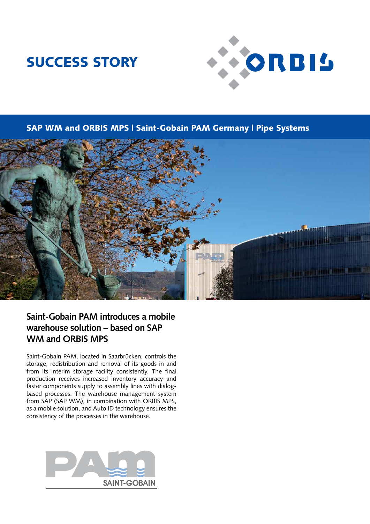# SUCCESS STORY



SAP WM and ORBIS MPS | Saint-Gobain PAM Germany | Pipe Systems



### **Saint-Gobain PAM introduces a mobile warehouse solution – based on SAP WM and ORBIS MPS**

Saint-Gobain PAM, located in Saarbrücken, controls the storage, redistribution and removal of its goods in and from its interim storage facility consistently. The final production receives increased inventory accuracy and faster components supply to assembly lines with dialogbased processes. The warehouse management system from SAP (SAP WM), in combination with ORBIS MPS, as a mobile solution, and Auto ID technology ensures the consistency of the processes in the warehouse.

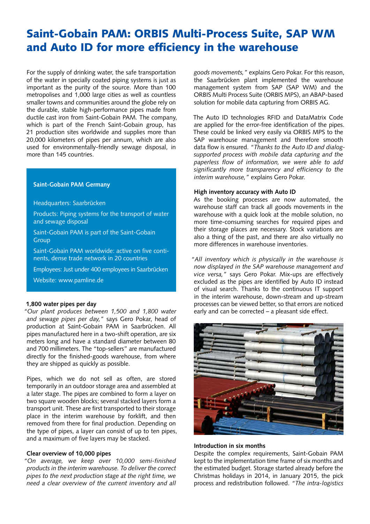## Saint-Gobain PAM: ORBIS Multi-Process Suite, SAP WM and Auto ID for more efficiency in the warehouse

For the supply of drinking water, the safe transportation of the water in specially coated piping systems is just as important as the purity of the source. More than 100 metropolises and 1,000 large cities as well as countless smaller towns and communities around the globe rely on the durable, stable high-performance pipes made from ductile cast iron from Saint-Gobain PAM. The company, which is part of the French Saint-Gobain group, has 21 production sites worldwide and supplies more than 20,000 kilometers of pipes per annum, which are also used for environmentally-friendly sewage disposal, in more than 145 countries.

#### **Saint-Gobain PAM Germany**

#### Headquarters: Saarbrücken

Products: Piping systems for the transport of water and sewage disposal

Saint-Gobain PAM is part of the Saint-Gobain **Group** 

Saint-Gobain PAM worldwide: active on five continents, dense trade network in 20 countries

Employees: Just under 400 employees in Saarbrücken

Website: www.pamline.de

#### **1,800 water pipes per day**

*"Our plant produces between 1,500 and 1,800 water and sewage pipes per day,"* says Gero Pokar, head of production at Saint-Gobain PAM in Saarbrücken. All pipes manufactured here in a two-shift operation, are six meters long and have a standard diameter between 80 and 700 millimeters. The "top-sellers" are manufactured directly for the finished-goods warehouse, from where they are shipped as quickly as possible.

Pipes, which we do not sell as often, are stored temporarily in an outdoor storage area and assembled at a later stage. The pipes are combined to form a layer on two square wooden blocks; several stacked layers form a transport unit. These are first transported to their storage place in the interim warehouse by forklift, and then removed from there for final production. Depending on the type of pipes, a layer can consist of up to ten pipes, and a maximum of five layers may be stacked.

#### **Clear overview of 10,000 pipes**

*"On average, we keep over 10,000 semi-finished products in the interim warehouse. To deliver the correct pipes to the next production stage at the right time, we need a clear overview of the current inventory and all*  *goods movements,"* explains Gero Pokar. For this reason, the Saarbrücken plant implemented the warehouse management system from SAP (SAP WM) and the ORBIS Multi Process Suite (ORBIS MPS), an ABAP-based solution for mobile data capturing from ORBIS AG.

The Auto ID technologies RFID and DataMatrix Code are applied for the error-free identification of the pipes. These could be linked very easily via ORBIS MPS to the SAP warehouse management and therefore smooth data flow is ensured. *"Thanks to the Auto ID and dialogsupported process with mobile data capturing and the paperless flow of information, we were able to add significantly more transparency and efficiency to the interim warehouse,"* explains Gero Pokar.

#### **High inventory accuracy with Auto ID**

As the booking processes are now automated, the warehouse staff can track all goods movements in the warehouse with a quick look at the mobile solution, no more time-consuming searches for required pipes and their storage places are necessary. Stock variations are also a thing of the past, and there are also virtually no more differences in warehouse inventories.

*"All inventory which is physically in the warehouse is now displayed in the SAP warehouse management and vice versa,"* says Gero Pokar. Mix-ups are effectively excluded as the pipes are identified by Auto ID instead of visual search. Thanks to the continuous IT support in the interim warehouse, down-stream and up-stream processes can be viewed better, so that errors are noticed early and can be corrected – a pleasant side effect.



#### **Introduction in six months**

Despite the complex requirements, Saint-Gobain PAM kept to the implementation time frame of six months and the estimated budget. Storage started already before the Christmas holidays in 2014, in January 2015, the pick process and redistribution followed. *"The intra-logistics*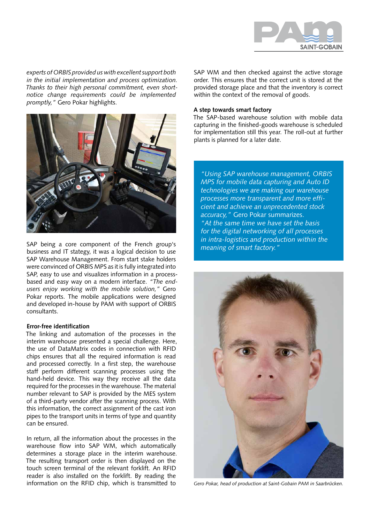

*experts of ORBIS provided us with excellent support both in the initial implementation and process optimization. Thanks to their high personal commitment, even shortnotice change requirements could be implemented promptly,"* Gero Pokar highlights.



SAP being a core component of the French group's business and IT stategy, it was a logical decision to use SAP Warehouse Management. From start stake holders were convinced of ORBIS MPS as it is fully integrated into SAP, easy to use and visualizes information in a processbased and easy way on a modern interface. *"The endusers enjoy working with the mobile solution,"* Gero Pokar reports. The mobile applications were designed and developed in-house by PAM with support of ORBIS consultants.

#### **Error-free identification**

The linking and automation of the processes in the interim warehouse presented a special challenge. Here, the use of DataMatrix codes in connection with RFID chips ensures that all the required information is read and processed correctly. In a first step, the warehouse staff perform different scanning processes using the hand-held device. This way they receive all the data required for the processes in the warehouse. The material number relevant to SAP is provided by the MES system of a third-party vendor after the scanning process. With this information, the correct assignment of the cast iron pipes to the transport units in terms of type and quantity can be ensured.

In return, all the information about the processes in the warehouse flow into SAP WM, which automatically determines a storage place in the interim warehouse. The resulting transport order is then displayed on the touch screen terminal of the relevant forklift. An RFID reader is also installed on the forklift. By reading the information on the RFID chip, which is transmitted to *Gero Pokar, head of production at Saint-Gobain PAM in Saarbrücken.*

SAP WM and then checked against the active storage order. This ensures that the correct unit is stored at the provided storage place and that the inventory is correct within the context of the removal of goods.

#### **A step towards smart factory**

The SAP-based warehouse solution with mobile data capturing in the finished-goods warehouse is scheduled for implementation still this year. The roll-out at further plants is planned for a later date.

*"Using SAP warehouse management, ORBIS MPS for mobile data capturing and Auto ID technologies we are making our warehouse processes more transparent and more efficient and achieve an unprecedented stock accuracy,"* Gero Pokar summarizes. *"At the same time we have set the basis for the digital networking of all processes in intra-logistics and production within the meaning of smart factory."*